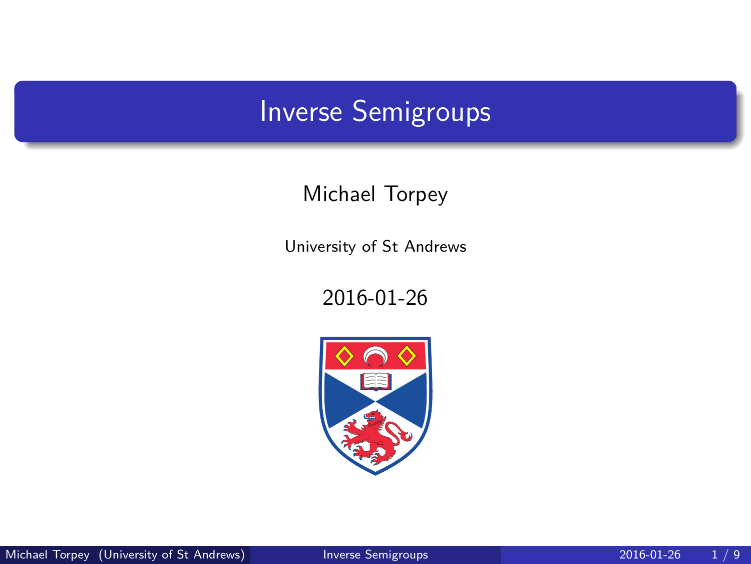# <span id="page-0-0"></span>Inverse Semigroups

#### Michael Torpey

University of St Andrews

2016-01-26

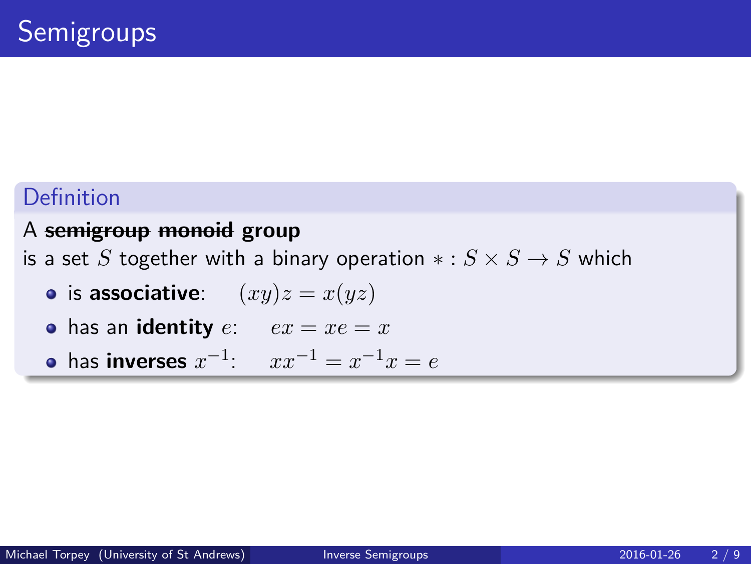#### A **semigroup monoid group**

is a set *S* together with a binary operation ∗ : *S* × *S* → *S* which

- is **associative**:  $(xy)z = x(yz)$
- has an **identity**  $e:$   $ex = xe = x$
- $h$ as **inverses**  $x^{-1}$ :  $xx^{-1} = x^{-1}x = e$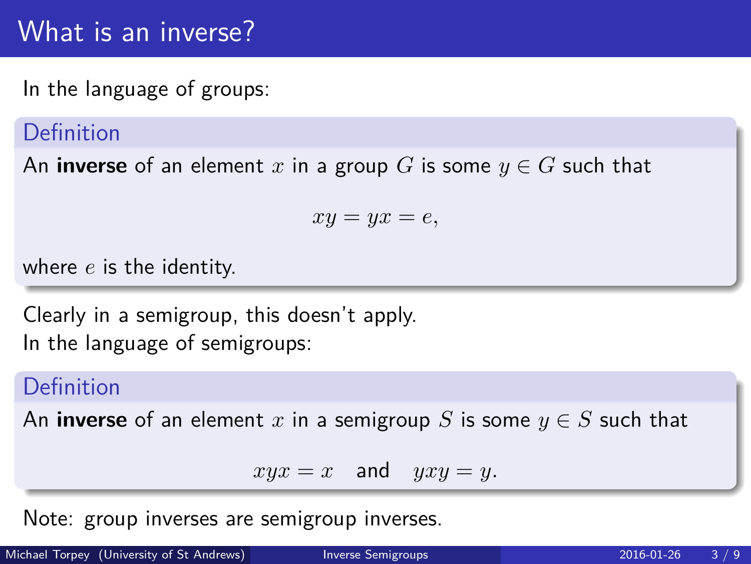# What is an inverse?

In the language of groups:

## Definition

An **inverse** of an element x in a group G is some  $y \in G$  such that

$$
xy = yx = e,
$$

where *e* is the identity.

Clearly in a semigroup, this doesn't apply. In the language of semigroups:

#### Definition

An **inverse** of an element x in a semigroup S is some  $y \in S$  such that

$$
xyx = x \quad \text{and} \quad yxy = y.
$$

Note: group inverses are semigroup inverses.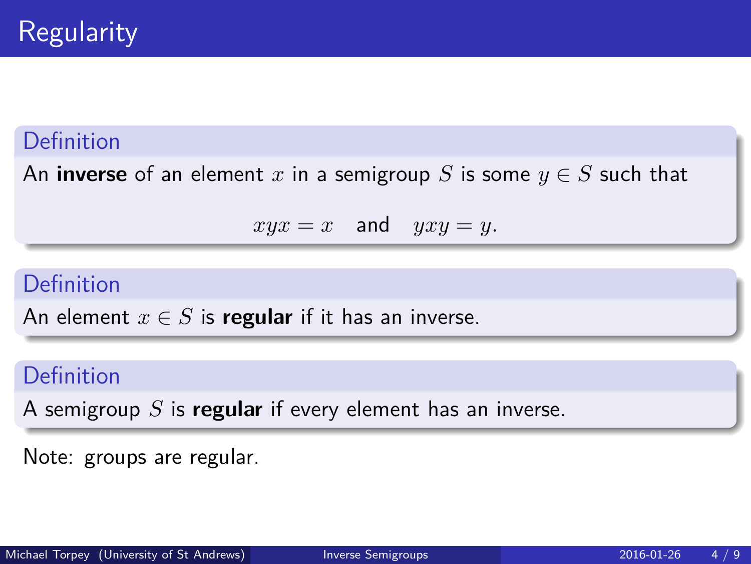An **inverse** of an element x in a semigroup S is some  $y \in S$  such that

 $xyx = x$  and  $yxy = y$ .

# Definition

An element  $x \in S$  is **regular** if it has an inverse.

### Definition

A semigroup *S* is **regular** if every element has an inverse.

Note: groups are regular.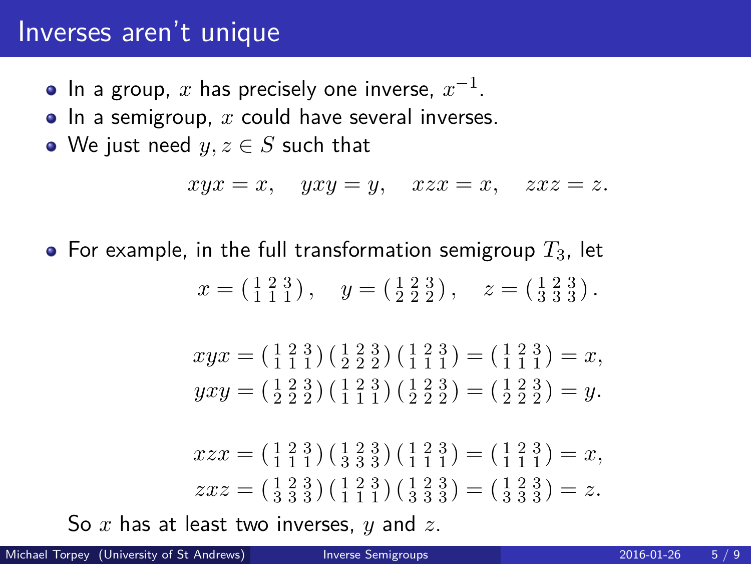# Inverses aren't unique

- In a group,  $x$  has precisely one inverse,  $x^{-1}.$
- $\bullet$  In a semigroup,  $x$  could have several inverses.
- We just need *y, z* ∈ *S* such that

 $xyx = x$ ,  $yxy = y$ ,  $xzx = x$ ,  $zxz = z$ .

 $\bullet$  For example, in the full transformation semigroup  $T_3$ , let

$$
x = \begin{pmatrix} 1 & 2 & 3 \\ 1 & 1 & 1 \end{pmatrix}, \quad y = \begin{pmatrix} 1 & 2 & 3 \\ 2 & 2 & 2 \end{pmatrix}, \quad z = \begin{pmatrix} 1 & 2 & 3 \\ 3 & 3 & 3 \end{pmatrix}.
$$

$$
xyx = \left(\begin{array}{cc} 1 & 2 & 3 \\ 1 & 1 & 1 \end{array}\right) \left(\begin{array}{cc} 1 & 2 & 3 \\ 2 & 2 & 2 \end{array}\right) \left(\begin{array}{cc} 1 & 2 & 3 \\ 1 & 1 & 1 \end{array}\right) = \left(\begin{array}{cc} 1 & 2 & 3 \\ 1 & 1 & 1 \end{array}\right) = x,
$$
  

$$
yxy = \left(\begin{array}{cc} 1 & 2 & 3 \\ 2 & 2 & 2 \end{array}\right) \left(\begin{array}{cc} 1 & 2 & 3 \\ 1 & 1 & 1 \end{array}\right) \left(\begin{array}{cc} 1 & 2 & 3 \\ 2 & 2 & 2 \end{array}\right) = \left(\begin{array}{cc} 1 & 2 & 3 \\ 2 & 2 & 2 \end{array}\right) = y.
$$

 $xzx = \begin{pmatrix} 1 & 2 & 3 \\ 1 & 1 & 1 \end{pmatrix} \begin{pmatrix} 1 & 2 & 3 \\ 3 & 3 & 3 \end{pmatrix} \begin{pmatrix} 1 & 2 & 3 \\ 1 & 1 & 1 \end{pmatrix} = \begin{pmatrix} 1 & 2 & 3 \\ 1 & 1 & 1 \end{pmatrix} = x,$  $zxz = (\frac{1}{3}\frac{2}{3}\frac{3}{3})(\frac{1}{1}\frac{2}{1}\frac{3}{1})(\frac{1}{3}\frac{2}{3}\frac{3}{3}) = (\frac{1}{3}\frac{2}{3}\frac{3}{3}) = z.$ 

So *x* has at least two inverses, *y* and *z*.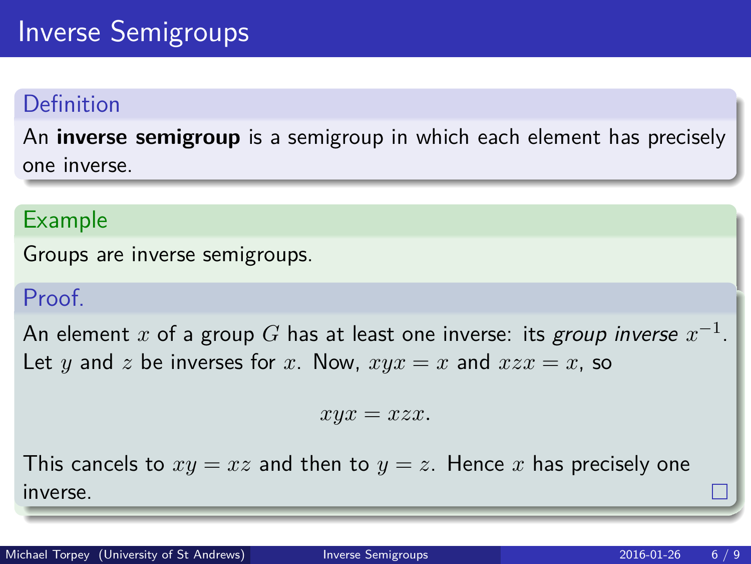An **inverse semigroup** is a semigroup in which each element has precisely one inverse.

## Example

Groups are inverse semigroups.

# Proof.

An element  $x$  of a group  $G$  has at least one inverse: its *group inverse*  $x^{-1}.$ Let *y* and *z* be inverses for *x*. Now,  $xyx = x$  and  $xzx = x$ , so

 $xyx = xzx.$ 

This cancels to  $xy = xz$  and then to  $y = z$ . Hence x has precisely one inverse.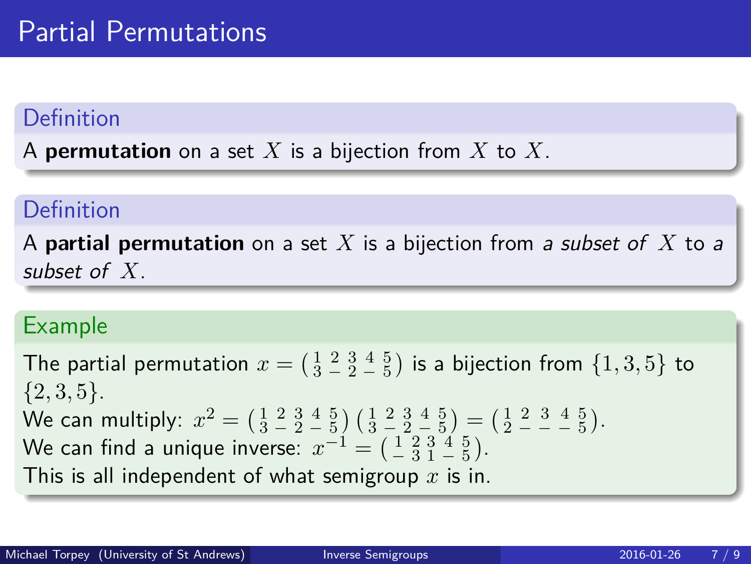A **permutation** on a set *X* is a bijection from *X* to *X*.

### Definition

A **partial permutation** on a set *X* is a bijection from a subset of *X* to a subset of *X*.

## Example

The partial permutation  $x = (\frac{1}{3}$   $\frac{2}{2}$   $\frac{3}{2}$   $\frac{4}{5}$   $\frac{5}{5})$  is a bijection from  $\{1,3,5\}$  to  $\{2, 3, 5\}.$ We can multiply:  $x^2 = \left(\frac{1}{3} \cdot \frac{2}{3} \cdot \frac{3}{4} \cdot \frac{5}{5}\right) \left(\frac{1}{3} \cdot \frac{2}{3} \cdot \frac{3}{4} \cdot \frac{4}{5}\right) = \left(\frac{1}{2} \cdot \frac{2}{5} \cdot \frac{3}{5} \cdot \frac{4}{5}\right).$ We can find a unique inverse:  $x^{-1} = (\frac{1}{-3} \frac{2}{1} \frac{3}{-} \frac{4}{5}).$ This is all independent of what semigroup *x* is in.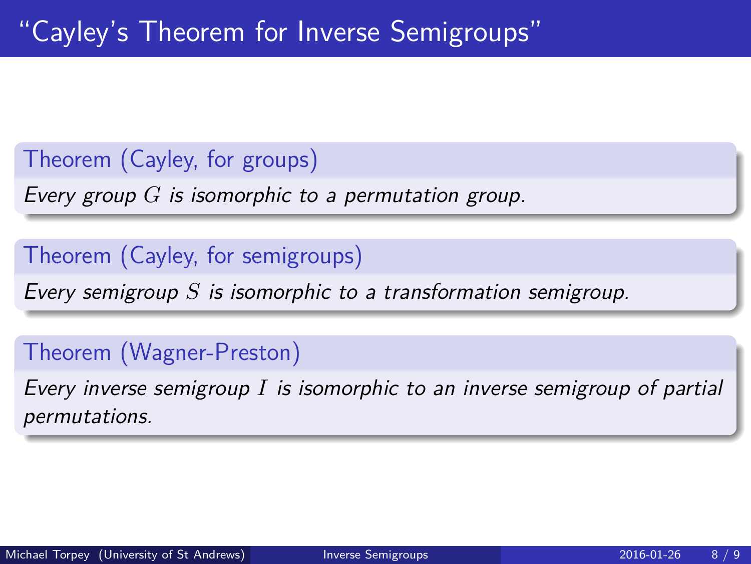## Theorem (Cayley, for groups)

Every group *G* is isomorphic to a permutation group.

## Theorem (Cayley, for semigroups)

Every semigroup *S* is isomorphic to a transformation semigroup.

# Theorem (Wagner-Preston)

Every inverse semigroup *I* is isomorphic to an inverse semigroup of partial permutations.